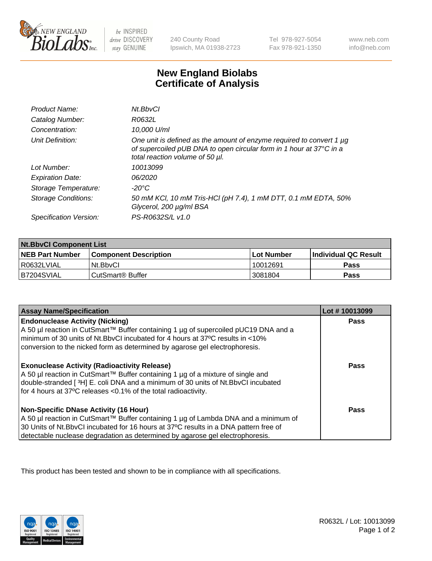

be INSPIRED drive DISCOVERY stay GENUINE

240 County Road Ipswich, MA 01938-2723

Tel 978-927-5054 Fax 978-921-1350

www.neb.com info@neb.com

## **New England Biolabs Certificate of Analysis**

| Product Name:              | Nt.BbvCl                                                                                                                                                                       |
|----------------------------|--------------------------------------------------------------------------------------------------------------------------------------------------------------------------------|
| Catalog Number:            | R0632L                                                                                                                                                                         |
| Concentration:             | 10,000 U/ml                                                                                                                                                                    |
| Unit Definition:           | One unit is defined as the amount of enzyme required to convert 1 µg<br>of supercoiled pUB DNA to open circular form in 1 hour at 37°C in a<br>total reaction volume of 50 µl. |
| Lot Number:                | 10013099                                                                                                                                                                       |
| <b>Expiration Date:</b>    | 06/2020                                                                                                                                                                        |
| Storage Temperature:       | -20°C                                                                                                                                                                          |
| <b>Storage Conditions:</b> | 50 mM KCl, 10 mM Tris-HCl (pH 7.4), 1 mM DTT, 0.1 mM EDTA, 50%<br>Glycerol, 200 µg/ml BSA                                                                                      |
| Specification Version:     | PS-R0632S/L v1.0                                                                                                                                                               |

| <b>Nt.BbvCl Component List</b> |                              |            |                             |  |
|--------------------------------|------------------------------|------------|-----------------------------|--|
| <b>NEB Part Number</b>         | <b>Component Description</b> | Lot Number | <b>Individual QC Result</b> |  |
| I R0632LVIAL                   | Nt.BbvCl                     | 10012691   | Pass                        |  |
| IB7204SVIAL                    | CutSmart® Buffer             | 3081804    | <b>Pass</b>                 |  |

| <b>Assay Name/Specification</b>                                                                                                                                                                                                                                                                         | Lot #10013099 |
|---------------------------------------------------------------------------------------------------------------------------------------------------------------------------------------------------------------------------------------------------------------------------------------------------------|---------------|
| <b>Endonuclease Activity (Nicking)</b><br>A 50 µl reaction in CutSmart™ Buffer containing 1 µg of supercoiled pUC19 DNA and a<br>minimum of 30 units of Nt.BbvCI incubated for 4 hours at 37°C results in <10%<br>conversion to the nicked form as determined by agarose gel electrophoresis.           | <b>Pass</b>   |
| <b>Exonuclease Activity (Radioactivity Release)</b><br>  A 50 µl reaction in CutSmart™ Buffer containing 1 µg of a mixture of single and<br>double-stranded [3H] E. coli DNA and a minimum of 30 units of Nt.BbvCl incubated<br>for 4 hours at 37°C releases <0.1% of the total radioactivity.          | <b>Pass</b>   |
| Non-Specific DNase Activity (16 Hour)<br>  A 50 µl reaction in CutSmart™ Buffer containing 1 µg of Lambda DNA and a minimum of<br>30 Units of Nt.BbvCl incubated for 16 hours at 37°C results in a DNA pattern free of<br>detectable nuclease degradation as determined by agarose gel electrophoresis. | <b>Pass</b>   |

This product has been tested and shown to be in compliance with all specifications.